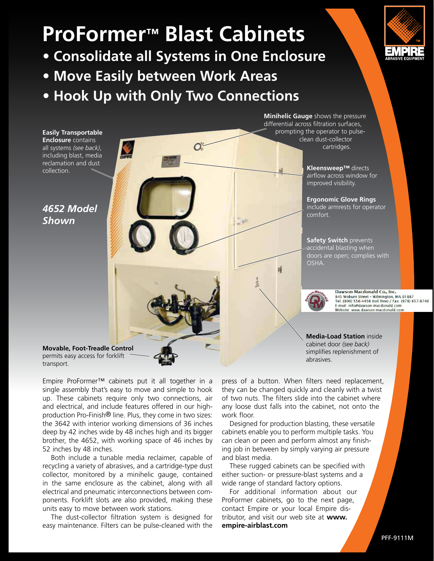# **ProFormer™ Blast Cabinets**

- **Consolidate all Systems in One Enclosure**
- **Move Easily between Work Areas**
- **Hook Up with Only Two Connections**

**Easily Transportable Enclosure** contains all systems *(see back)*, including blast, media reclamation and dust collection.

*4652 Model Shown*

**Minihelic Gauge** shows the pressure differential across filtration surfaces, prompting the operator to pulseclean dust-collector cartridges.

> **Kleensweep™** directs airflow across window for improved visibility.

**Ergonomic Glove Rings**  include armrests for operator comfort.

**Safety Switch prevents** accidental blasting when doors are open; complies with OSHA.



Dawson-Macdonald Co., Inc. Dawson-Macdonald Co., Inc.<br>845 Woburn Street - Wilmington, MA 01887<br>Tel: (800) 556-4456 (toll free) / Fax: (978) 657-8740<br>E-mail: info@dawson-macdonald com E-mail: info@dawson-macdonald.com Website: www.dawson-macdonald.com

**Media-Load Station** inside cabinet door *(see back)* simplifies replenishment of abrasives.

**Movable, Foot-Treadle Control**  permits easy access for forklift transport.

Empire ProFormer™ cabinets put it all together in a single assembly that's easy to move and simple to hook up. These cabinets require only two connections, air and electrical, and include features offered in our highproduction Pro-Finish® line. Plus, they come in two sizes: the 3642 with interior working dimensions of 36 inches deep by 42 inches wide by 48 inches high and its bigger brother, the 4652, with working space of 46 inches by 52 inches by 48 inches.

 Both include a tunable media reclaimer, capable of recycling a variety of abrasives, and a cartridge-type dust collector, monitored by a minihelic gauge, contained in the same enclosure as the cabinet, along with all electrical and pneumatic interconnections between components. Forklift slots are also provided, making these units easy to move between work stations.

 The dust-collector filtration system is designed for easy maintenance. Filters can be pulse-cleaned with the

press of a button. When filters need replacement, they can be changed quickly and cleanly with a twist of two nuts. The filters slide into the cabinet where any loose dust falls into the cabinet, not onto the work floor.

 Designed for production blasting, these versatile cabinets enable you to perform multiple tasks. You can clean or peen and perform almost any finishing job in between by simply varying air pressure and blast media.

 These rugged cabinets can be specified with either suction- or pressure-blast systems and a wide range of standard factory options.

 For additional information about our ProFormer cabinets, go to the next page, contact Empire or your local Empire distributor, and visit our web site at **www. empire-airblast.com**